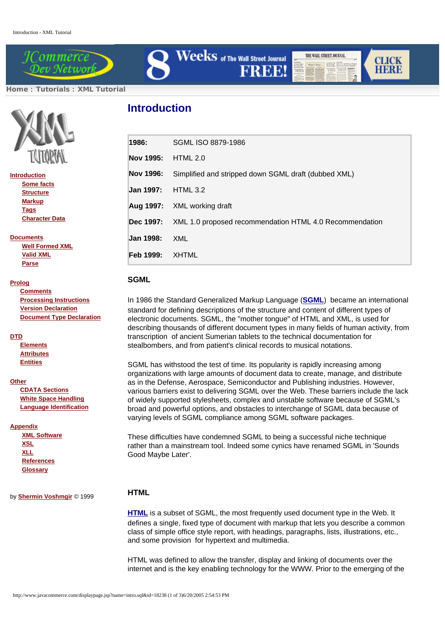

 ${\bf Weeks}$  of The Wall Street Journal **FREE!** 

THE WALL STREET JOURNAL

**CLICK** 

**HERE** 

**Home** : **Tutorials** : **XML Tutorial**



| <b>Introduction</b> |
|---------------------|
| <b>Some facts</b>   |

 **Structure Markup Tags Character Data**

**Documents**

 **Well Formed XML Valid XML Parse**

#### **Prolog**

 **Comments Processing Instructions Version Declaration Document Type Declaration**

### **DTD**

 **Elements Attributes Entities**

#### **Other**

 **CDATA Sections White Space Handling Language Identification**

#### **Appendix**

 **XML Software XSL XLL References Glossary**

by **Shermin Voshmgir** © 1999

# **Introduction**

| 1986:            | SGML ISO 8879-1986                                      |
|------------------|---------------------------------------------------------|
| Nov 1995:        | HTML 2.0                                                |
| Nov 1996:        | Simplified and stripped down SGML draft (dubbed XML)    |
| <b>Jan 1997:</b> | HTML 3.2                                                |
|                  | <b>Aug 1997:</b> XML working draft                      |
| Dec 1997:        | XML 1.0 proposed recommendation HTML 4.0 Recommendation |
| <b>Jan 1998:</b> | XML                                                     |
| Feb 1999:        | XHTML                                                   |

## **SGML**

In 1986 the Standard Generalized Markup Language (**SGML**) became an international standard for defining descriptions of the structure and content of different types of electronic documents. SGML, the "mother tongue" of HTML and XML, is used for describing thousands of different document types in many fields of human activity, from transcription of ancient Sumerian tablets to the technical documentation for stealbombers, and from patient's clinical records to musical notations.

SGML has withstood the test of time. Its popularity is rapidly increasing among organizations with large amounts of document data to create, manage, and distribute as in the Defense, Aerospace, Semiconductor and Publishing industries. However, various barriers exist to delivering SGML over the Web. These barriers include the lack of widely supported stylesheets, complex and unstable software because of SGML's broad and powerful options, and obstacles to interchange of SGML data because of varying levels of SGML compliance among SGML software packages.

These difficulties have condemned SGML to being a successful niche technique rather than a mainstream tool. Indeed some cynics have renamed SGML in 'Sounds Good Maybe Later'.

# **HTML**

**HTML** is a subset of SGML, the most frequently used document type in the Web. It defines a single, fixed type of document with markup that lets you describe a common class of simple office style report, with headings, paragraphs, lists, illustrations, etc., and some provision for hypertext and multimedia.

HTML was defined to allow the transfer, display and linking of documents over the internet and is the key enabling technology for the WWW. Prior to the emerging of the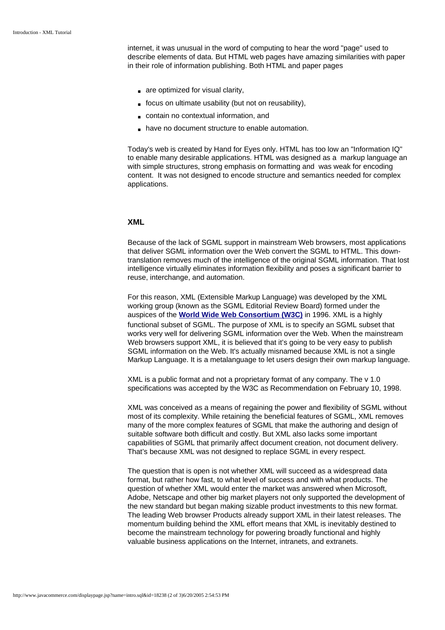internet, it was unusual in the word of computing to hear the word "page" used to describe elements of data. But HTML web pages have amazing similarities with paper in their role of information publishing. Both HTML and paper pages

- are optimized for visual clarity.
- focus on ultimate usability (but not on reusability),
- contain no contextual information, and
- have no document structure to enable automation.

Today's web is created by Hand for Eyes only. HTML has too low an "Information IQ" to enable many desirable applications. HTML was designed as a markup language an with simple structures, strong emphasis on formatting and was weak for encoding content. It was not designed to encode structure and semantics needed for complex applications.

## **XML**

Because of the lack of SGML support in mainstream Web browsers, most applications that deliver SGML information over the Web convert the SGML to HTML. This downtranslation removes much of the intelligence of the original SGML information. That lost intelligence virtually eliminates information flexibility and poses a significant barrier to reuse, interchange, and automation.

For this reason, XML (Extensible Markup Language) was developed by the XML working group (known as the SGML Editorial Review Board) formed under the auspices of the **World Wide Web Consortium (W3C)** in 1996. XML is a highly functional subset of SGML. The purpose of XML is to specify an SGML subset that works very well for delivering SGML information over the Web. When the mainstream Web browsers support XML, it is believed that it's going to be very easy to publish SGML information on the Web. It's actually misnamed because XML is not a single Markup Language. It is a metalanguage to let users design their own markup language.

XML is a public format and not a proprietary format of any company. The v 1.0 specifications was accepted by the W3C as Recommendation on February 10, 1998.

XML was conceived as a means of regaining the power and flexibility of SGML without most of its complexity. While retaining the beneficial features of SGML, XML removes many of the more complex features of SGML that make the authoring and design of suitable software both difficult and costly. But XML also lacks some important capabilities of SGML that primarily affect document creation, not document delivery. That's because XML was not designed to replace SGML in every respect.

The question that is open is not whether XML will succeed as a widespread data format, but rather how fast, to what level of success and with what products. The question of whether XML would enter the market was answered when Microsoft, Adobe, Netscape and other big market players not only supported the development of the new standard but began making sizable product investments to this new format. The leading Web browser Products already support XML in their latest releases. The momentum building behind the XML effort means that XML is inevitably destined to become the mainstream technology for powering broadly functional and highly valuable business applications on the Internet, intranets, and extranets.